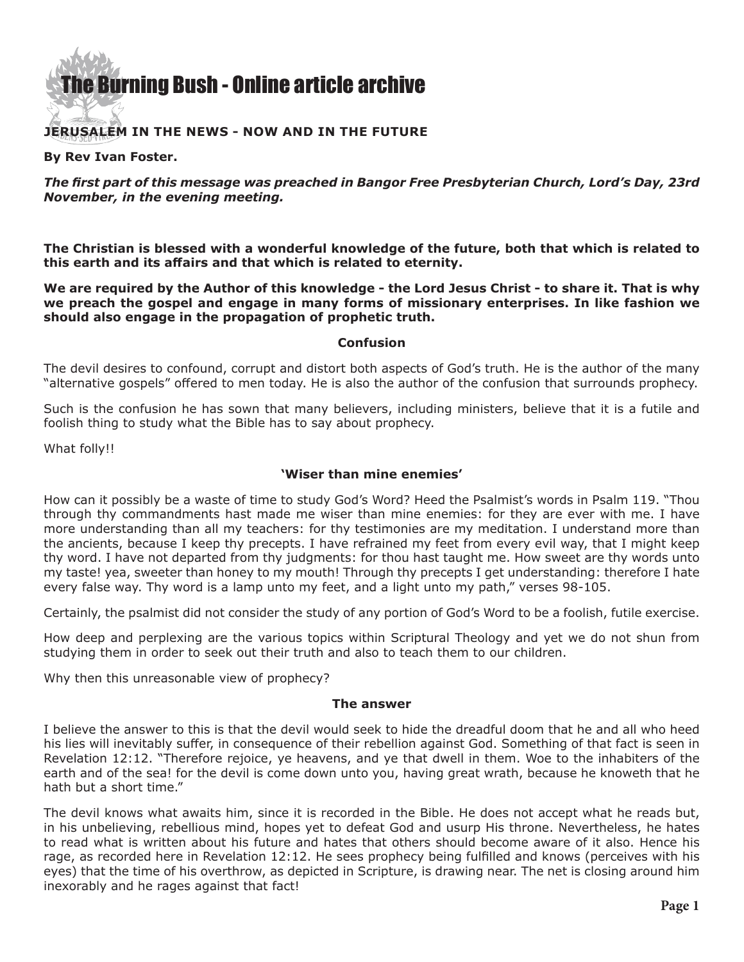### [The Burning Bush - Online article archive](http://www.ivanfoster.net)

#### **Jerusalem in the news - Now and in the Future**

#### **By Rev Ivan Foster.**

*The first part of this message was preached in Bangor Free Presbyterian Church, Lord's Day, 23rd November, in the evening meeting.*

**The Christian is blessed with a wonderful knowledge of the future, both that which is related to this earth and its affairs and that which is related to eternity.**

**We are required by the Author of this knowledge - the Lord Jesus Christ - to share it. That is why we preach the gospel and engage in many forms of missionary enterprises. In like fashion we should also engage in the propagation of prophetic truth.**

#### **Confusion**

The devil desires to confound, corrupt and distort both aspects of God's truth. He is the author of the many "alternative gospels" offered to men today. He is also the author of the confusion that surrounds prophecy.

Such is the confusion he has sown that many believers, including ministers, believe that it is a futile and foolish thing to study what the Bible has to say about prophecy.

What folly!!

#### **'Wiser than mine enemies'**

How can it possibly be a waste of time to study God's Word? Heed the Psalmist's words in Psalm 119. "Thou through thy commandments hast made me wiser than mine enemies: for they are ever with me. I have more understanding than all my teachers: for thy testimonies are my meditation. I understand more than the ancients, because I keep thy precepts. I have refrained my feet from every evil way, that I might keep thy word. I have not departed from thy judgments: for thou hast taught me. How sweet are thy words unto my taste! yea, sweeter than honey to my mouth! Through thy precepts I get understanding: therefore I hate every false way. Thy word is a lamp unto my feet, and a light unto my path," verses 98-105.

Certainly, the psalmist did not consider the study of any portion of God's Word to be a foolish, futile exercise.

How deep and perplexing are the various topics within Scriptural Theology and yet we do not shun from studying them in order to seek out their truth and also to teach them to our children.

Why then this unreasonable view of prophecy?

#### **The answer**

I believe the answer to this is that the devil would seek to hide the dreadful doom that he and all who heed his lies will inevitably suffer, in consequence of their rebellion against God. Something of that fact is seen in Revelation 12:12. "Therefore rejoice, ye heavens, and ye that dwell in them. Woe to the inhabiters of the earth and of the sea! for the devil is come down unto you, having great wrath, because he knoweth that he hath but a short time."

The devil knows what awaits him, since it is recorded in the Bible. He does not accept what he reads but, in his unbelieving, rebellious mind, hopes yet to defeat God and usurp His throne. Nevertheless, he hates to read what is written about his future and hates that others should become aware of it also. Hence his rage, as recorded here in Revelation 12:12. He sees prophecy being fulfilled and knows (perceives with his eyes) that the time of his overthrow, as depicted in Scripture, is drawing near. The net is closing around him inexorably and he rages against that fact!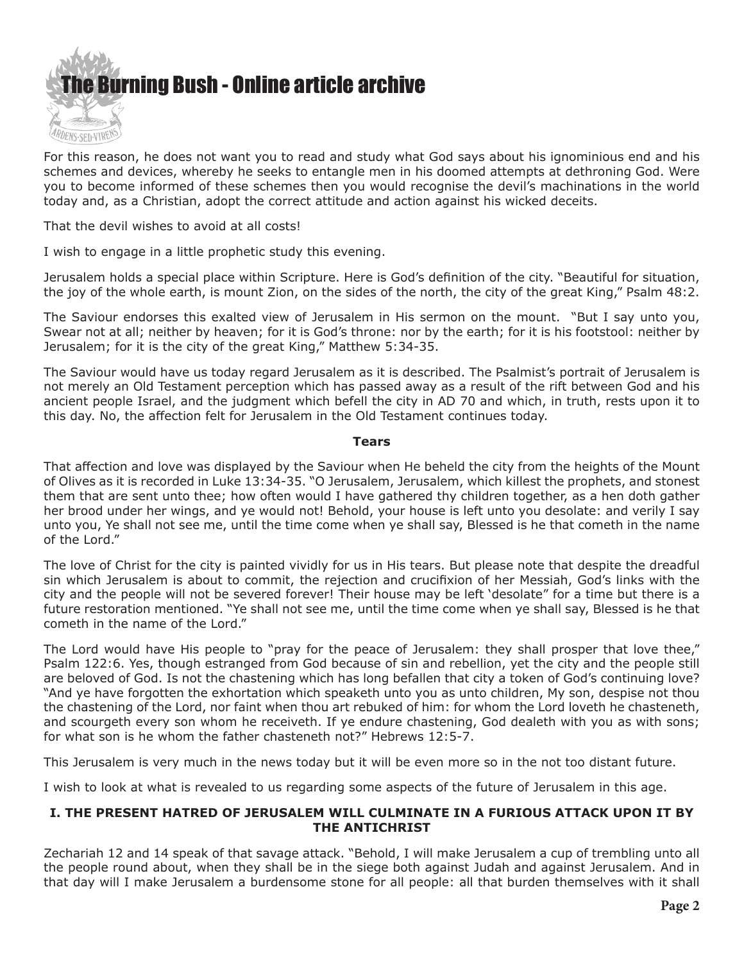

For this reason, he does not want you to read and study what God says about his ignominious end and his schemes and devices, whereby he seeks to entangle men in his doomed attempts at dethroning God. Were you to become informed of these schemes then you would recognise the devil's machinations in the world today and, as a Christian, adopt the correct attitude and action against his wicked deceits.

That the devil wishes to avoid at all costs!

I wish to engage in a little prophetic study this evening.

Jerusalem holds a special place within Scripture. Here is God's definition of the city. "Beautiful for situation, the joy of the whole earth, is mount Zion, on the sides of the north, the city of the great King," Psalm 48:2.

The Saviour endorses this exalted view of Jerusalem in His sermon on the mount. "But I say unto you, Swear not at all; neither by heaven; for it is God's throne: nor by the earth; for it is his footstool: neither by Jerusalem; for it is the city of the great King," Matthew 5:34-35.

The Saviour would have us today regard Jerusalem as it is described. The Psalmist's portrait of Jerusalem is not merely an Old Testament perception which has passed away as a result of the rift between God and his ancient people Israel, and the judgment which befell the city in AD 70 and which, in truth, rests upon it to this day. No, the affection felt for Jerusalem in the Old Testament continues today.

#### **Tears**

That affection and love was displayed by the Saviour when He beheld the city from the heights of the Mount of Olives as it is recorded in Luke 13:34-35. "O Jerusalem, Jerusalem, which killest the prophets, and stonest them that are sent unto thee; how often would I have gathered thy children together, as a hen doth gather her brood under her wings, and ye would not! Behold, your house is left unto you desolate: and verily I say unto you, Ye shall not see me, until the time come when ye shall say, Blessed is he that cometh in the name of the Lord."

The love of Christ for the city is painted vividly for us in His tears. But please note that despite the dreadful sin which Jerusalem is about to commit, the rejection and crucifixion of her Messiah, God's links with the city and the people will not be severed forever! Their house may be left 'desolate" for a time but there is a future restoration mentioned. "Ye shall not see me, until the time come when ye shall say, Blessed is he that cometh in the name of the Lord."

The Lord would have His people to "pray for the peace of Jerusalem: they shall prosper that love thee," Psalm 122:6. Yes, though estranged from God because of sin and rebellion, yet the city and the people still are beloved of God. Is not the chastening which has long befallen that city a token of God's continuing love? "And ye have forgotten the exhortation which speaketh unto you as unto children, My son, despise not thou the chastening of the Lord, nor faint when thou art rebuked of him: for whom the Lord loveth he chasteneth, and scourgeth every son whom he receiveth. If ye endure chastening, God dealeth with you as with sons; for what son is he whom the father chasteneth not?" Hebrews 12:5-7.

This Jerusalem is very much in the news today but it will be even more so in the not too distant future.

I wish to look at what is revealed to us regarding some aspects of the future of Jerusalem in this age.

#### **I. THE PRESENT HATRED OF JERUSALEM WILL CULMINATE IN A FURIOUS ATTACK UPON IT BY THE ANTICHRIST**

Zechariah 12 and 14 speak of that savage attack. "Behold, I will make Jerusalem a cup of trembling unto all the people round about, when they shall be in the siege both against Judah and against Jerusalem. And in that day will I make Jerusalem a burdensome stone for all people: all that burden themselves with it shall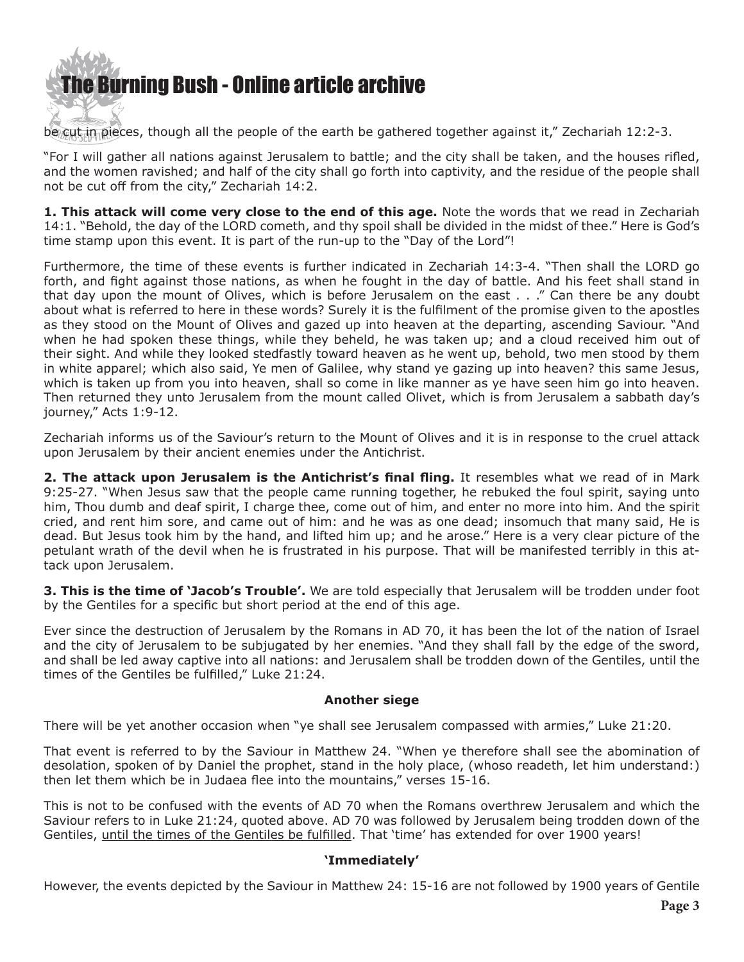

be cut in pieces, though all the people of the earth be gathered together against it," Zechariah 12:2-3.

"For I will gather all nations against Jerusalem to battle; and the city shall be taken, and the houses rifled, and the women ravished; and half of the city shall go forth into captivity, and the residue of the people shall not be cut off from the city," Zechariah 14:2.

**1. This attack will come very close to the end of this age.** Note the words that we read in Zechariah 14:1. "Behold, the day of the LORD cometh, and thy spoil shall be divided in the midst of thee." Here is God's time stamp upon this event. It is part of the run-up to the "Day of the Lord"!

Furthermore, the time of these events is further indicated in Zechariah 14:3-4. "Then shall the LORD go forth, and fight against those nations, as when he fought in the day of battle. And his feet shall stand in that day upon the mount of Olives, which is before Jerusalem on the east . . ." Can there be any doubt about what is referred to here in these words? Surely it is the fulfilment of the promise given to the apostles as they stood on the Mount of Olives and gazed up into heaven at the departing, ascending Saviour. "And when he had spoken these things, while they beheld, he was taken up; and a cloud received him out of their sight. And while they looked stedfastly toward heaven as he went up, behold, two men stood by them in white apparel; which also said, Ye men of Galilee, why stand ye gazing up into heaven? this same Jesus, which is taken up from you into heaven, shall so come in like manner as ye have seen him go into heaven. Then returned they unto Jerusalem from the mount called Olivet, which is from Jerusalem a sabbath day's journey," Acts 1:9-12.

Zechariah informs us of the Saviour's return to the Mount of Olives and it is in response to the cruel attack upon Jerusalem by their ancient enemies under the Antichrist.

**2. The attack upon Jerusalem is the Antichrist's final fling.** It resembles what we read of in Mark 9:25-27. "When Jesus saw that the people came running together, he rebuked the foul spirit, saying unto him, Thou dumb and deaf spirit, I charge thee, come out of him, and enter no more into him. And the spirit cried, and rent him sore, and came out of him: and he was as one dead; insomuch that many said, He is dead. But Jesus took him by the hand, and lifted him up; and he arose." Here is a very clear picture of the petulant wrath of the devil when he is frustrated in his purpose. That will be manifested terribly in this attack upon Jerusalem.

**3. This is the time of 'Jacob's Trouble'.** We are told especially that Jerusalem will be trodden under foot by the Gentiles for a specific but short period at the end of this age.

Ever since the destruction of Jerusalem by the Romans in AD 70, it has been the lot of the nation of Israel and the city of Jerusalem to be subjugated by her enemies. "And they shall fall by the edge of the sword, and shall be led away captive into all nations: and Jerusalem shall be trodden down of the Gentiles, until the times of the Gentiles be fulfilled," Luke 21:24.

#### **Another siege**

There will be yet another occasion when "ye shall see Jerusalem compassed with armies," Luke 21:20.

That event is referred to by the Saviour in Matthew 24. "When ye therefore shall see the abomination of desolation, spoken of by Daniel the prophet, stand in the holy place, (whoso readeth, let him understand:) then let them which be in Judaea flee into the mountains," verses 15-16.

This is not to be confused with the events of AD 70 when the Romans overthrew Jerusalem and which the Saviour refers to in Luke 21:24, quoted above. AD 70 was followed by Jerusalem being trodden down of the Gentiles, until the times of the Gentiles be fulfilled. That 'time' has extended for over 1900 years!

#### **'Immediately'**

However, the events depicted by the Saviour in Matthew 24: 15-16 are not followed by 1900 years of Gentile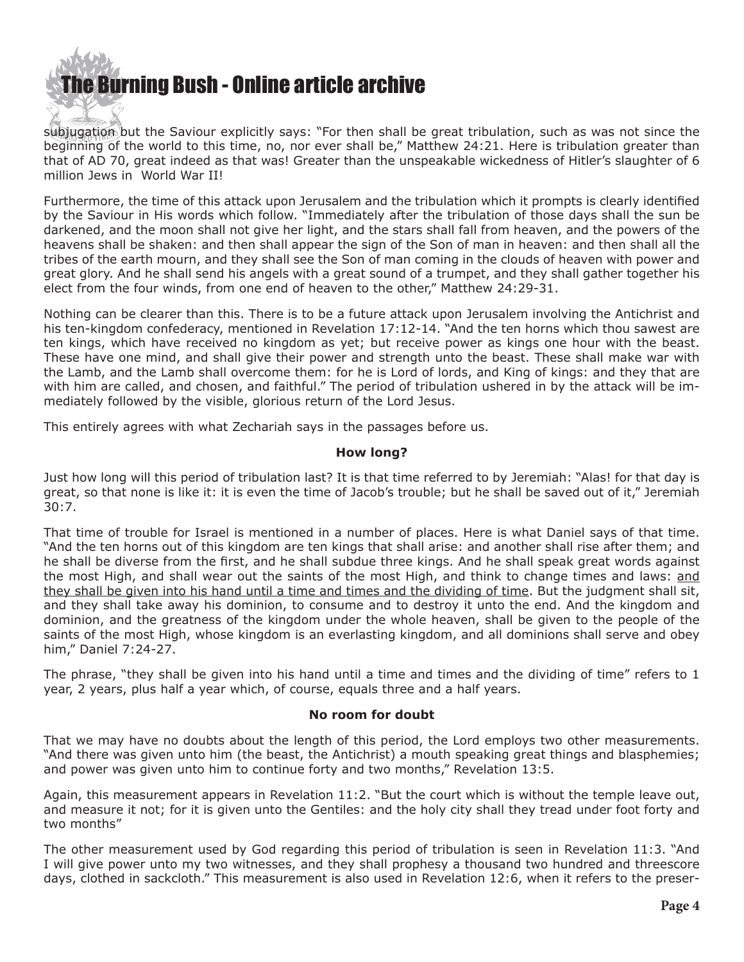

subjugation but the Saviour explicitly says: "For then shall be great tribulation, such as was not since the beginning of the world to this time, no, nor ever shall be," Matthew 24:21. Here is tribulation greater than that of AD 70, great indeed as that was! Greater than the unspeakable wickedness of Hitler's slaughter of 6 million Jews in World War II!

Furthermore, the time of this attack upon Jerusalem and the tribulation which it prompts is clearly identified by the Saviour in His words which follow. "Immediately after the tribulation of those days shall the sun be darkened, and the moon shall not give her light, and the stars shall fall from heaven, and the powers of the heavens shall be shaken: and then shall appear the sign of the Son of man in heaven: and then shall all the tribes of the earth mourn, and they shall see the Son of man coming in the clouds of heaven with power and great glory. And he shall send his angels with a great sound of a trumpet, and they shall gather together his elect from the four winds, from one end of heaven to the other," Matthew 24:29-31.

Nothing can be clearer than this. There is to be a future attack upon Jerusalem involving the Antichrist and his ten-kingdom confederacy, mentioned in Revelation 17:12-14. "And the ten horns which thou sawest are ten kings, which have received no kingdom as yet; but receive power as kings one hour with the beast. These have one mind, and shall give their power and strength unto the beast. These shall make war with the Lamb, and the Lamb shall overcome them: for he is Lord of lords, and King of kings: and they that are with him are called, and chosen, and faithful." The period of tribulation ushered in by the attack will be immediately followed by the visible, glorious return of the Lord Jesus.

This entirely agrees with what Zechariah says in the passages before us.

#### **How long?**

Just how long will this period of tribulation last? It is that time referred to by Jeremiah: "Alas! for that day is great, so that none is like it: it is even the time of Jacob's trouble; but he shall be saved out of it," Jeremiah 30:7.

That time of trouble for Israel is mentioned in a number of places. Here is what Daniel says of that time. "And the ten horns out of this kingdom are ten kings that shall arise: and another shall rise after them; and he shall be diverse from the first, and he shall subdue three kings. And he shall speak great words against the most High, and shall wear out the saints of the most High, and think to change times and laws: and they shall be given into his hand until a time and times and the dividing of time. But the judgment shall sit, and they shall take away his dominion, to consume and to destroy it unto the end. And the kingdom and dominion, and the greatness of the kingdom under the whole heaven, shall be given to the people of the saints of the most High, whose kingdom is an everlasting kingdom, and all dominions shall serve and obey him," Daniel 7:24-27.

The phrase, "they shall be given into his hand until a time and times and the dividing of time" refers to 1 year, 2 years, plus half a year which, of course, equals three and a half years.

#### **No room for doubt**

That we may have no doubts about the length of this period, the Lord employs two other measurements. "And there was given unto him (the beast, the Antichrist) a mouth speaking great things and blasphemies; and power was given unto him to continue forty and two months," Revelation 13:5.

Again, this measurement appears in Revelation 11:2. "But the court which is without the temple leave out, and measure it not; for it is given unto the Gentiles: and the holy city shall they tread under foot forty and two months"

The other measurement used by God regarding this period of tribulation is seen in Revelation 11:3. "And I will give power unto my two witnesses, and they shall prophesy a thousand two hundred and threescore days, clothed in sackcloth." This measurement is also used in Revelation 12:6, when it refers to the preser-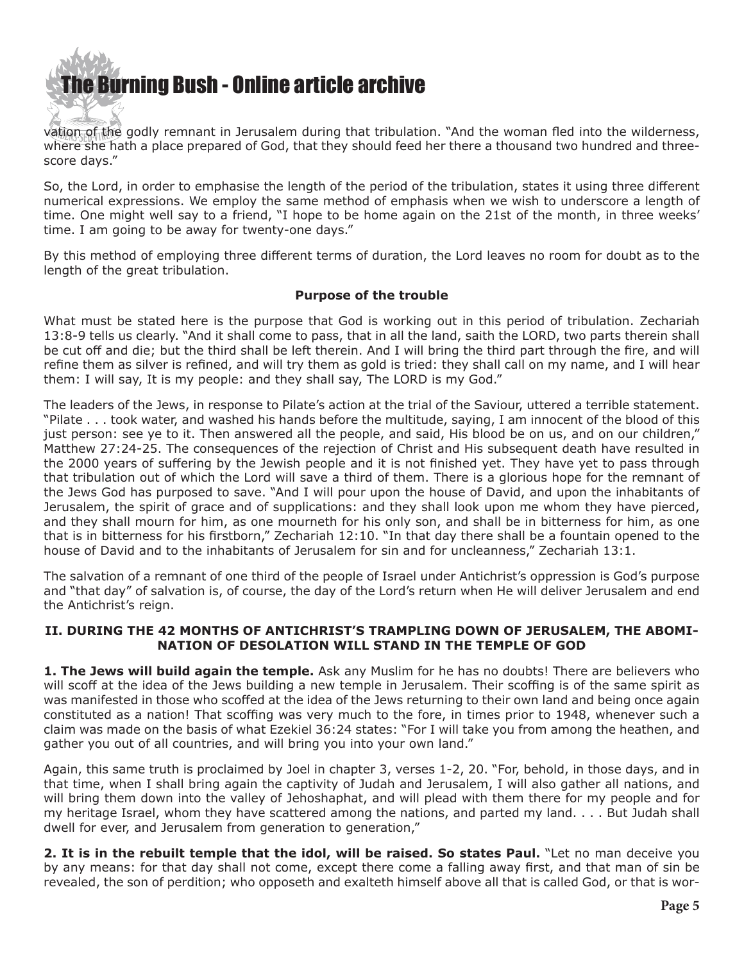

vation of the godly remnant in Jerusalem during that tribulation. "And the woman fled into the wilderness, where she hath a place prepared of God, that they should feed her there a thousand two hundred and threescore days."

So, the Lord, in order to emphasise the length of the period of the tribulation, states it using three different numerical expressions. We employ the same method of emphasis when we wish to underscore a length of time. One might well say to a friend, "I hope to be home again on the 21st of the month, in three weeks' time. I am going to be away for twenty-one days."

By this method of employing three different terms of duration, the Lord leaves no room for doubt as to the length of the great tribulation.

#### **Purpose of the trouble**

What must be stated here is the purpose that God is working out in this period of tribulation. Zechariah 13:8-9 tells us clearly. "And it shall come to pass, that in all the land, saith the LORD, two parts therein shall be cut off and die; but the third shall be left therein. And I will bring the third part through the fire, and will refine them as silver is refined, and will try them as gold is tried: they shall call on my name, and I will hear them: I will say, It is my people: and they shall say, The LORD is my God."

The leaders of the Jews, in response to Pilate's action at the trial of the Saviour, uttered a terrible statement. "Pilate . . . took water, and washed his hands before the multitude, saying, I am innocent of the blood of this just person: see ye to it. Then answered all the people, and said, His blood be on us, and on our children," Matthew 27:24-25. The consequences of the rejection of Christ and His subsequent death have resulted in the 2000 years of suffering by the Jewish people and it is not finished yet. They have yet to pass through that tribulation out of which the Lord will save a third of them. There is a glorious hope for the remnant of the Jews God has purposed to save. "And I will pour upon the house of David, and upon the inhabitants of Jerusalem, the spirit of grace and of supplications: and they shall look upon me whom they have pierced, and they shall mourn for him, as one mourneth for his only son, and shall be in bitterness for him, as one that is in bitterness for his firstborn," Zechariah 12:10. "In that day there shall be a fountain opened to the house of David and to the inhabitants of Jerusalem for sin and for uncleanness," Zechariah 13:1.

The salvation of a remnant of one third of the people of Israel under Antichrist's oppression is God's purpose and "that day" of salvation is, of course, the day of the Lord's return when He will deliver Jerusalem and end the Antichrist's reign.

#### **II. DURING THE 42 MONTHS OF ANTICHRIST'S TRAMPLING DOWN OF JERUSALEM, THE ABOMI-NATION OF DESOLATION WILL STAND IN THE TEMPLE OF GOD**

**1. The Jews will build again the temple.** Ask any Muslim for he has no doubts! There are believers who will scoff at the idea of the Jews building a new temple in Jerusalem. Their scoffing is of the same spirit as was manifested in those who scoffed at the idea of the Jews returning to their own land and being once again constituted as a nation! That scoffing was very much to the fore, in times prior to 1948, whenever such a claim was made on the basis of what Ezekiel 36:24 states: "For I will take you from among the heathen, and gather you out of all countries, and will bring you into your own land."

Again, this same truth is proclaimed by Joel in chapter 3, verses 1-2, 20. "For, behold, in those days, and in that time, when I shall bring again the captivity of Judah and Jerusalem, I will also gather all nations, and will bring them down into the valley of Jehoshaphat, and will plead with them there for my people and for my heritage Israel, whom they have scattered among the nations, and parted my land. . . . But Judah shall dwell for ever, and Jerusalem from generation to generation,"

**2. It is in the rebuilt temple that the idol, will be raised. So states Paul.** "Let no man deceive you by any means: for that day shall not come, except there come a falling away first, and that man of sin be revealed, the son of perdition; who opposeth and exalteth himself above all that is called God, or that is wor-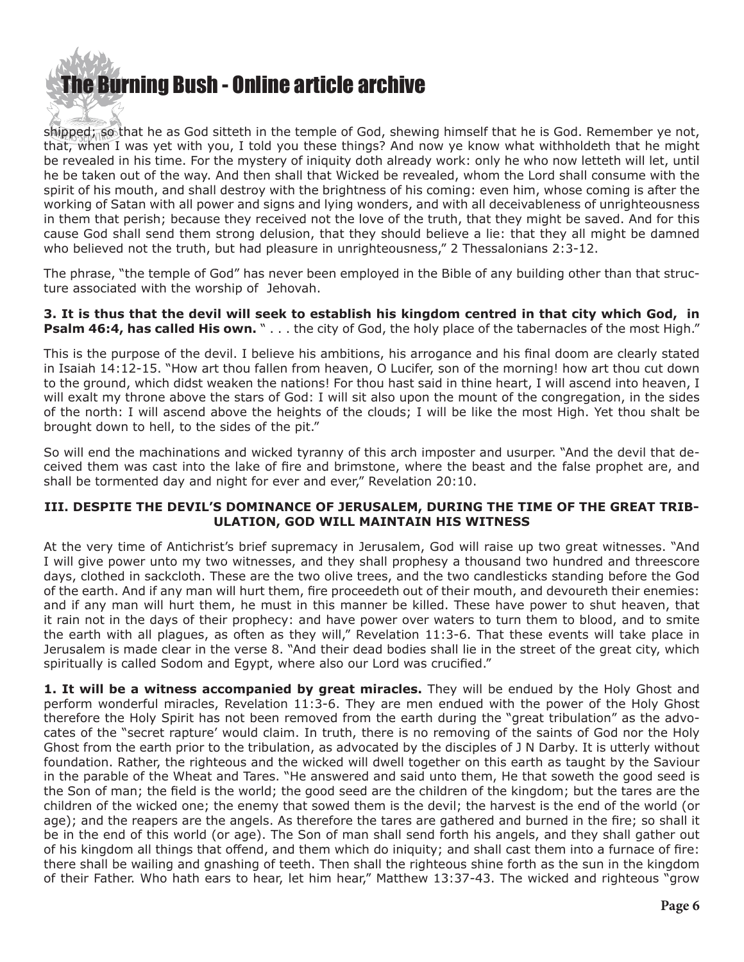## **he Burning Bush - Online article archive**

shipped; so that he as God sitteth in the temple of God, shewing himself that he is God. Remember ye not, that, when I was yet with you, I told you these things? And now ye know what withholdeth that he might be revealed in his time. For the mystery of iniquity doth already work: only he who now letteth will let, until he be taken out of the way. And then shall that Wicked be revealed, whom the Lord shall consume with the spirit of his mouth, and shall destroy with the brightness of his coming: even him, whose coming is after the working of Satan with all power and signs and lying wonders, and with all deceivableness of unrighteousness in them that perish; because they received not the love of the truth, that they might be saved. And for this cause God shall send them strong delusion, that they should believe a lie: that they all might be damned who believed not the truth, but had pleasure in unrighteousness," 2 Thessalonians 2:3-12.

The phrase, "the temple of God" has never been employed in the Bible of any building other than that structure associated with the worship of Jehovah.

**3. It is thus that the devil will seek to establish his kingdom centred in that city which God, in Psalm 46:4, has called His own.** " . . . the city of God, the holy place of the tabernacles of the most High."

This is the purpose of the devil. I believe his ambitions, his arrogance and his final doom are clearly stated in Isaiah 14:12-15. "How art thou fallen from heaven, O Lucifer, son of the morning! how art thou cut down to the ground, which didst weaken the nations! For thou hast said in thine heart, I will ascend into heaven, I will exalt my throne above the stars of God: I will sit also upon the mount of the congregation, in the sides of the north: I will ascend above the heights of the clouds; I will be like the most High. Yet thou shalt be brought down to hell, to the sides of the pit."

So will end the machinations and wicked tyranny of this arch imposter and usurper. "And the devil that deceived them was cast into the lake of fire and brimstone, where the beast and the false prophet are, and shall be tormented day and night for ever and ever," Revelation 20:10.

#### **III. DESPITE THE DEVIL'S DOMINANCE OF JERUSALEM, DURING THE TIME OF THE GREAT TRIB-ULATION, GOD WILL MAINTAIN HIS WITNESS**

At the very time of Antichrist's brief supremacy in Jerusalem, God will raise up two great witnesses. "And I will give power unto my two witnesses, and they shall prophesy a thousand two hundred and threescore days, clothed in sackcloth. These are the two olive trees, and the two candlesticks standing before the God of the earth. And if any man will hurt them, fire proceedeth out of their mouth, and devoureth their enemies: and if any man will hurt them, he must in this manner be killed. These have power to shut heaven, that it rain not in the days of their prophecy: and have power over waters to turn them to blood, and to smite the earth with all plagues, as often as they will," Revelation 11:3-6. That these events will take place in Jerusalem is made clear in the verse 8. "And their dead bodies shall lie in the street of the great city, which spiritually is called Sodom and Egypt, where also our Lord was crucified."

**1. It will be a witness accompanied by great miracles.** They will be endued by the Holy Ghost and perform wonderful miracles, Revelation 11:3-6. They are men endued with the power of the Holy Ghost therefore the Holy Spirit has not been removed from the earth during the "great tribulation" as the advocates of the "secret rapture' would claim. In truth, there is no removing of the saints of God nor the Holy Ghost from the earth prior to the tribulation, as advocated by the disciples of J N Darby. It is utterly without foundation. Rather, the righteous and the wicked will dwell together on this earth as taught by the Saviour in the parable of the Wheat and Tares. "He answered and said unto them, He that soweth the good seed is the Son of man; the field is the world; the good seed are the children of the kingdom; but the tares are the children of the wicked one; the enemy that sowed them is the devil; the harvest is the end of the world (or age); and the reapers are the angels. As therefore the tares are gathered and burned in the fire; so shall it be in the end of this world (or age). The Son of man shall send forth his angels, and they shall gather out of his kingdom all things that offend, and them which do iniquity; and shall cast them into a furnace of fire: there shall be wailing and gnashing of teeth. Then shall the righteous shine forth as the sun in the kingdom of their Father. Who hath ears to hear, let him hear," Matthew 13:37-43. The wicked and righteous "grow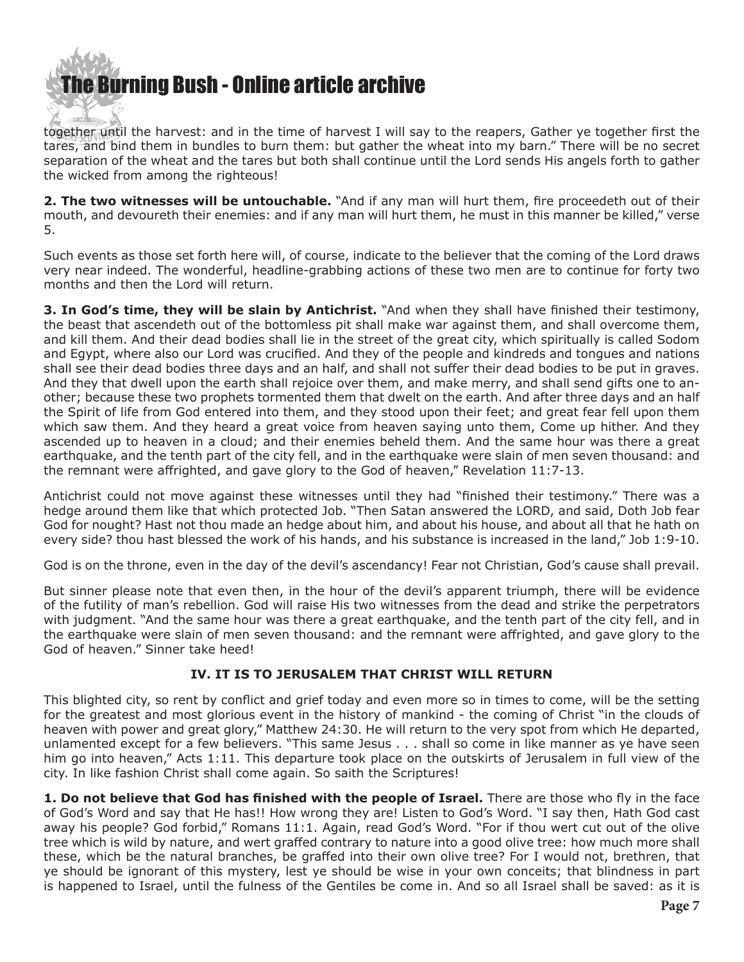# [The Burning Bush - Online article archive](http://www.ivanfoster.net)

together until the harvest: and in the time of harvest I will say to the reapers, Gather ye together first the tares, and bind them in bundles to burn them: but gather the wheat into my barn." There will be no secret separation of the wheat and the tares but both shall continue until the Lord sends His angels forth to gather the wicked from among the righteous!

**2. The two witnesses will be untouchable.** "And if any man will hurt them, fire proceedeth out of their mouth, and devoureth their enemies: and if any man will hurt them, he must in this manner be killed," verse 5.

Such events as those set forth here will, of course, indicate to the believer that the coming of the Lord draws very near indeed. The wonderful, headline-grabbing actions of these two men are to continue for forty two months and then the Lord will return.

**3. In God's time, they will be slain by Antichrist.** "And when they shall have finished their testimony, the beast that ascendeth out of the bottomless pit shall make war against them, and shall overcome them, and kill them. And their dead bodies shall lie in the street of the great city, which spiritually is called Sodom and Egypt, where also our Lord was crucified. And they of the people and kindreds and tongues and nations shall see their dead bodies three days and an half, and shall not suffer their dead bodies to be put in graves. And they that dwell upon the earth shall rejoice over them, and make merry, and shall send gifts one to another; because these two prophets tormented them that dwelt on the earth. And after three days and an half the Spirit of life from God entered into them, and they stood upon their feet; and great fear fell upon them which saw them. And they heard a great voice from heaven saying unto them, Come up hither. And they ascended up to heaven in a cloud; and their enemies beheld them. And the same hour was there a great earthquake, and the tenth part of the city fell, and in the earthquake were slain of men seven thousand: and the remnant were affrighted, and gave glory to the God of heaven," Revelation 11:7-13.

Antichrist could not move against these witnesses until they had "finished their testimony." There was a hedge around them like that which protected Job. "Then Satan answered the LORD, and said, Doth Job fear God for nought? Hast not thou made an hedge about him, and about his house, and about all that he hath on every side? thou hast blessed the work of his hands, and his substance is increased in the land," Job 1:9-10.

God is on the throne, even in the day of the devil's ascendancy! Fear not Christian, God's cause shall prevail.

But sinner please note that even then, in the hour of the devil's apparent triumph, there will be evidence of the futility of man's rebellion. God will raise His two witnesses from the dead and strike the perpetrators with judgment. "And the same hour was there a great earthquake, and the tenth part of the city fell, and in the earthquake were slain of men seven thousand: and the remnant were affrighted, and gave glory to the God of heaven." Sinner take heed!

#### **IV. IT IS TO JERUSALEM THAT CHRIST WILL RETURN**

This blighted city, so rent by conflict and grief today and even more so in times to come, will be the setting for the greatest and most glorious event in the history of mankind - the coming of Christ "in the clouds of heaven with power and great glory," Matthew 24:30. He will return to the very spot from which He departed, unlamented except for a few believers. "This same Jesus . . . shall so come in like manner as ye have seen him go into heaven," Acts 1:11. This departure took place on the outskirts of Jerusalem in full view of the city. In like fashion Christ shall come again. So saith the Scriptures!

**1. Do not believe that God has finished with the people of Israel.** There are those who fly in the face of God's Word and say that He has!! How wrong they are! Listen to God's Word. "I say then, Hath God cast away his people? God forbid," Romans 11:1. Again, read God's Word. "For if thou wert cut out of the olive tree which is wild by nature, and wert graffed contrary to nature into a good olive tree: how much more shall these, which be the natural branches, be graffed into their own olive tree? For I would not, brethren, that ye should be ignorant of this mystery, lest ye should be wise in your own conceits; that blindness in part is happened to Israel, until the fulness of the Gentiles be come in. And so all Israel shall be saved: as it is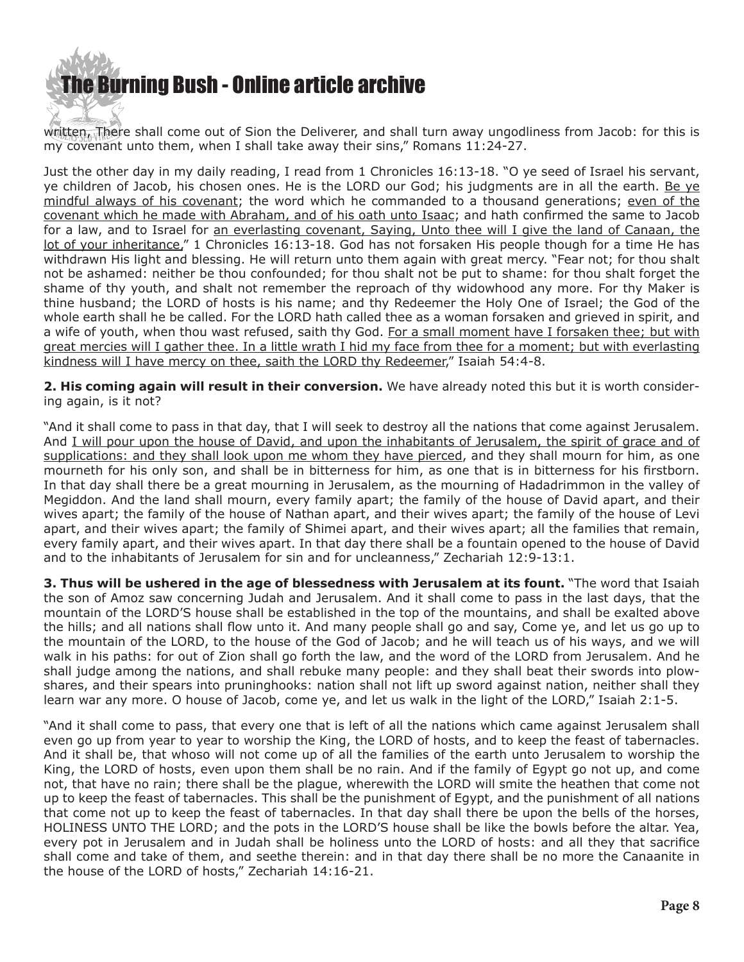

written, There shall come out of Sion the Deliverer, and shall turn away ungodliness from Jacob: for this is my covenant unto them, when I shall take away their sins," Romans 11:24-27.

Just the other day in my daily reading, I read from 1 Chronicles 16:13-18. "O ye seed of Israel his servant, ye children of Jacob, his chosen ones. He is the LORD our God; his judgments are in all the earth. Be ye mindful always of his covenant; the word which he commanded to a thousand generations; even of the covenant which he made with Abraham, and of his oath unto Isaac; and hath confirmed the same to Jacob for a law, and to Israel for an everlasting covenant, Saying, Unto thee will I give the land of Canaan, the lot of your inheritance," 1 Chronicles 16:13-18. God has not forsaken His people though for a time He has withdrawn His light and blessing. He will return unto them again with great mercy. "Fear not; for thou shalt not be ashamed: neither be thou confounded; for thou shalt not be put to shame: for thou shalt forget the shame of thy youth, and shalt not remember the reproach of thy widowhood any more. For thy Maker is thine husband; the LORD of hosts is his name; and thy Redeemer the Holy One of Israel; the God of the whole earth shall he be called. For the LORD hath called thee as a woman forsaken and grieved in spirit, and a wife of youth, when thou wast refused, saith thy God. For a small moment have I forsaken thee; but with great mercies will I gather thee. In a little wrath I hid my face from thee for a moment; but with everlasting kindness will I have mercy on thee, saith the LORD thy Redeemer," Isaiah 54:4-8.

**2. His coming again will result in their conversion.** We have already noted this but it is worth considering again, is it not?

"And it shall come to pass in that day, that I will seek to destroy all the nations that come against Jerusalem. And I will pour upon the house of David, and upon the inhabitants of Jerusalem, the spirit of grace and of supplications: and they shall look upon me whom they have pierced, and they shall mourn for him, as one mourneth for his only son, and shall be in bitterness for him, as one that is in bitterness for his firstborn. In that day shall there be a great mourning in Jerusalem, as the mourning of Hadadrimmon in the valley of Megiddon. And the land shall mourn, every family apart; the family of the house of David apart, and their wives apart; the family of the house of Nathan apart, and their wives apart; the family of the house of Levi apart, and their wives apart; the family of Shimei apart, and their wives apart; all the families that remain, every family apart, and their wives apart. In that day there shall be a fountain opened to the house of David and to the inhabitants of Jerusalem for sin and for uncleanness," Zechariah 12:9-13:1.

**3. Thus will be ushered in the age of blessedness with Jerusalem at its fount.** "The word that Isaiah the son of Amoz saw concerning Judah and Jerusalem. And it shall come to pass in the last days, that the mountain of the LORD'S house shall be established in the top of the mountains, and shall be exalted above the hills; and all nations shall flow unto it. And many people shall go and say, Come ye, and let us go up to the mountain of the LORD, to the house of the God of Jacob; and he will teach us of his ways, and we will walk in his paths: for out of Zion shall go forth the law, and the word of the LORD from Jerusalem. And he shall judge among the nations, and shall rebuke many people: and they shall beat their swords into plowshares, and their spears into pruninghooks: nation shall not lift up sword against nation, neither shall they learn war any more. O house of Jacob, come ye, and let us walk in the light of the LORD," Isaiah 2:1-5.

"And it shall come to pass, that every one that is left of all the nations which came against Jerusalem shall even go up from year to year to worship the King, the LORD of hosts, and to keep the feast of tabernacles. And it shall be, that whoso will not come up of all the families of the earth unto Jerusalem to worship the King, the LORD of hosts, even upon them shall be no rain. And if the family of Egypt go not up, and come not, that have no rain; there shall be the plague, wherewith the LORD will smite the heathen that come not up to keep the feast of tabernacles. This shall be the punishment of Egypt, and the punishment of all nations that come not up to keep the feast of tabernacles. In that day shall there be upon the bells of the horses, HOLINESS UNTO THE LORD; and the pots in the LORD'S house shall be like the bowls before the altar. Yea, every pot in Jerusalem and in Judah shall be holiness unto the LORD of hosts: and all they that sacrifice shall come and take of them, and seethe therein: and in that day there shall be no more the Canaanite in the house of the LORD of hosts," Zechariah 14:16-21.